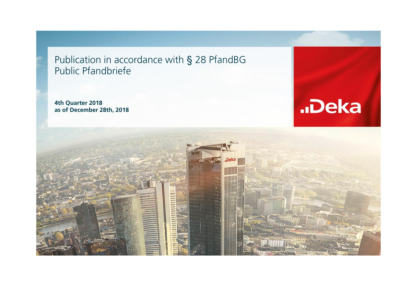Publication in accordance with § 28 PfandBG Public Pfandbriefe

**4th Quarter 2018 as of December 28th, 2018**



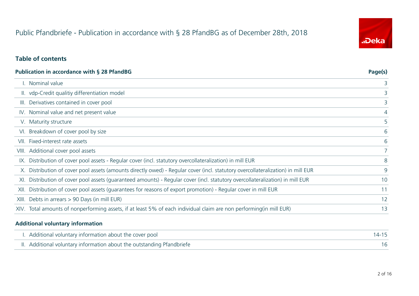# Public Pfandbriefe - Publication in accordance with § 28 PfandBG as of December 28th, 2018

# "Deka

#### **Table of contents**

|       | <b>Publication in accordance with § 28 PfandBG</b>                                                                               | Page(s)     |
|-------|----------------------------------------------------------------------------------------------------------------------------------|-------------|
|       | I. Nominal value                                                                                                                 | 3           |
|       | II. vdp-Credit qualitiy differentiation model                                                                                    | 3           |
| III.  | Derivatives contained in cover pool                                                                                              | 3           |
|       | IV. Nominal value and net present value                                                                                          | 4           |
|       | V. Maturity structure                                                                                                            | 5           |
|       | VI. Breakdown of cover pool by size                                                                                              | 6           |
| VII.  | Fixed-interest rate assets                                                                                                       | 6           |
|       | VIII. Additional cover pool assets                                                                                               | $7^{\circ}$ |
|       | IX. Distribution of cover pool assets - Regular cover (incl. statutory overcollateralization) in mill EUR                        | 8           |
|       | X. Distribution of cover pool assets (amounts directly owed) - Regular cover (incl. statutory overcollateralization) in mill EUR | 9           |
| XI.   | Distribution of cover pool assets (guaranteed amounts) - Regular cover (incl. statutory overcollateralization) in mill EUR       | 10          |
| XII.  | Distribution of cover pool assets (quarantees for reasons of export promotion) - Regular cover in mill EUR                       | 11          |
| XIII. | Debts in arrears > 90 Days (in mill EUR)                                                                                         | 12          |
|       | XIV. Total amounts of nonperforming assets, if at least 5% of each individual claim are non performing(in mill EUR)              | 13          |
|       |                                                                                                                                  |             |

#### **Additional voluntary information**

 $\overline{a}$ 

| I. Additional voluntary information about the cover pool               |  |
|------------------------------------------------------------------------|--|
| II. Additional voluntary information about the outstanding Pfandbriefe |  |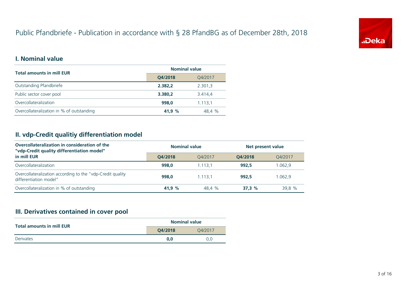# Public Pfandbriefe - Publication in accordance with § 28 PfandBG as of December 28th, 2018



#### **I. Nominal value**

| <b>Total amounts in mill EUR</b>          | <b>Nominal value</b> |         |
|-------------------------------------------|----------------------|---------|
|                                           | Q4/2018              | Q4/2017 |
| Outstanding Pfandbriefe                   | 2.382,2              | 2.301,3 |
| Public sector cover pool                  | 3.380,2              | 3.414,4 |
| Overcollateralization                     | 998.0                | 1.113,1 |
| Overcollateralization in % of outstanding | 41.9 $%$             | 48.4 %  |

#### **II. vdp-Credit qualitiy differentiation model**

| Overcollateralization in consideration of the<br>"vdp-Credit quality differentiation model" | <b>Nominal value</b> |         | Net present value |         |  |
|---------------------------------------------------------------------------------------------|----------------------|---------|-------------------|---------|--|
| in mill EUR                                                                                 | O4/2018              | 04/2017 | O4/2018           | O4/2017 |  |
| Overcollateralization                                                                       | 998.0                | 1.113.1 | 992.5             | 1.062,9 |  |
| Overcollateralization according to the "vdp-Credit quality<br>differentiation model"        | 998.0                | 1.113.1 | 992.5             | 1.062.9 |  |
| Overcollateralization in % of outstanding                                                   | 41.9 %               | 48.4 %  | 37.3%             | 39.8 %  |  |

# **III. Derivatives contained in cover pool**

| <b>Total amounts in mill EUR</b> | <b>Nominal value</b> |         |  |
|----------------------------------|----------------------|---------|--|
|                                  | O4/2018              | 04/2017 |  |
| Derivates                        | 0.0                  | 0.0     |  |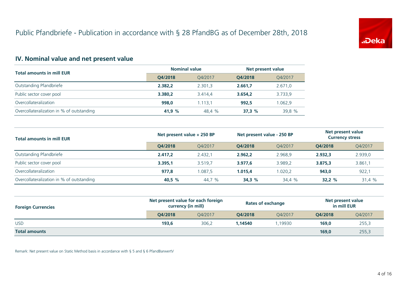

# **IV. Nominal value and net present value**

| <b>Total amounts in mill EUR</b>          | <b>Nominal value</b> |         | Net present value |         |
|-------------------------------------------|----------------------|---------|-------------------|---------|
|                                           | O4/2018              | 04/2017 | O4/2018           | 04/2017 |
| Outstanding Pfandbriefe                   | 2.382.2              | 2.301.3 | 2.661.7           | 2.671,0 |
| Public sector cover pool                  | 3.380.2              | 3.414.4 | 3.654.2           | 3.733,9 |
| Overcollateralization                     | 998.0                | 1.113.1 | 992.5             | 1.062,9 |
| Overcollateralization in % of outstanding | 41.9 %               | 48.4 %  | 37.3%             | 39.8 %  |

| <b>Total amounts in mill EUR</b>          | Net present value + 250 BP |         | Net present value - 250 BP |         | Net present value<br><b>Currency stress</b> |         |
|-------------------------------------------|----------------------------|---------|----------------------------|---------|---------------------------------------------|---------|
|                                           | O4/2018                    | O4/2017 | O4/2018                    | O4/2017 | O4/2018                                     | Q4/2017 |
| Outstanding Pfandbriefe                   | 2.417.2                    | 2.432.1 | 2.962.2                    | 2.968.9 | 2.932.3                                     | 2.939,0 |
| Public sector cover pool                  | 3.395.1                    | 3.519.7 | 3.977.6                    | 3.989.2 | 3.875,3                                     | 3.861,1 |
| Overcollateralization                     | 977.8                      | 1.087.5 | 1.015.4                    | 1.020.2 | 943.0                                       | 922,1   |
| Overcollateralization in % of outstanding | 40,5 %                     | 44,7 %  | 34.3%                      | 34,4 %  | 32.2%                                       | 31,4 %  |

| <b>Foreign Currencies</b> | Net present value for each foreign<br>currency (in mill) |         | <b>Rates of exchange</b> |         | Net present value<br>in mill EUR |         |
|---------------------------|----------------------------------------------------------|---------|--------------------------|---------|----------------------------------|---------|
|                           | O4/2018                                                  | O4/2017 | O4/2018                  | O4/2017 | O4/2018                          | Q4/2017 |
| <b>USD</b>                | 193,6                                                    | 306.2   | 1.14540                  | .19930  | 169,0                            | 255,3   |
| <b>Total amounts</b>      |                                                          |         |                          |         | 169,0                            | 255,3   |

Remark: Net present value on Static Method basis in accordance with § 5 and § 6 PfandBarwertV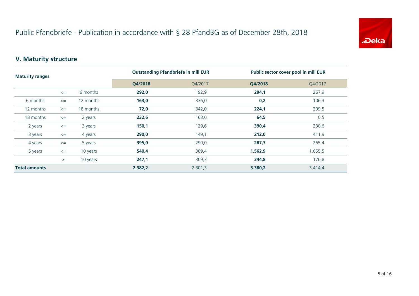

# **V. Maturity structure**

| <b>Maturity ranges</b> |        |           | <b>Outstanding Pfandbriefe in mill EUR</b> |         | Public sector cover pool in mill EUR |         |
|------------------------|--------|-----------|--------------------------------------------|---------|--------------------------------------|---------|
|                        |        |           | Q4/2018                                    | Q4/2017 | Q4/2018                              | Q4/2017 |
|                        | $\leq$ | 6 months  | 292,0                                      | 192,9   | 294,1                                | 267,9   |
| 6 months               | $\leq$ | 12 months | 163,0                                      | 336,0   | 0,2                                  | 106,3   |
| 12 months              | $\leq$ | 18 months | 72,0                                       | 342,0   | 224,1                                | 299,5   |
| 18 months              | $\leq$ | 2 years   | 232,6                                      | 163,0   | 64,5                                 | 0,5     |
| 2 years                | $\leq$ | 3 years   | 150,1                                      | 129,6   | 390,4                                | 230,6   |
| 3 years                | $\leq$ | 4 years   | 290,0                                      | 149,1   | 212,0                                | 411,9   |
| 4 years                | $\leq$ | 5 years   | 395,0                                      | 290,0   | 287,3                                | 265,4   |
| 5 years                | $\leq$ | 10 years  | 540,4                                      | 389,4   | 1.562,9                              | 1.655,5 |
|                        | $\geq$ | 10 years  | 247,1                                      | 309,3   | 344,8                                | 176,8   |
| <b>Total amounts</b>   |        | 2.382,2   | 2.301,3                                    | 3.380,2 | 3.414,4                              |         |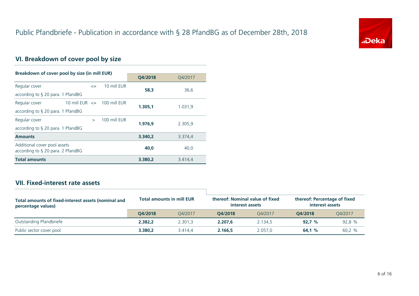

# **VI. Breakdown of cover pool by size**

| Breakdown of cover pool by size (in mill EUR)                        |                                 |              |         |         |  |  |
|----------------------------------------------------------------------|---------------------------------|--------------|---------|---------|--|--|
|                                                                      |                                 |              | Q4/2018 | Q4/2017 |  |  |
| Regular cover                                                        | $\leq$                          | 10 mill EUR  | 58.3    | 36,6    |  |  |
| according to $\S$ 20 para. 1 PfandBG                                 |                                 |              |         |         |  |  |
| Regular cover                                                        | 10 mill EUR $\leq$ 100 mill EUR |              | 1.305.1 | 1.031,9 |  |  |
| according to § 20 para. 1 PfandBG                                    |                                 |              |         |         |  |  |
| Regular cover                                                        | $\rightarrow$                   | 100 mill EUR | 1.976.9 | 2.305,9 |  |  |
| according to $\S$ 20 para. 1 PfandBG                                 |                                 |              |         |         |  |  |
| <b>Amounts</b>                                                       |                                 |              | 3.340.2 | 3.374,4 |  |  |
| Additional cover pool assets<br>according to $\S$ 20 para. 2 PfandBG |                                 |              | 40.0    | 40,0    |  |  |
| <b>Total amounts</b>                                                 |                                 |              | 3.380,2 | 3.414,4 |  |  |

# **VII. Fixed-interest rate assets**

| Total amounts of fixed-interest assets (nominal and<br>percentage values) |         | <b>Total amounts in mill EUR</b> | interest assets | thereof: Nominal value of fixed | thereof: Percentage of fixed<br>interest assets |         |
|---------------------------------------------------------------------------|---------|----------------------------------|-----------------|---------------------------------|-------------------------------------------------|---------|
|                                                                           | O4/2018 | O4/2017                          | O4/2018         | 04/2017                         | O4/2018                                         | 04/2017 |
| Outstanding Pfandbriefe                                                   | 2.382.2 | 2.301.3                          | 2.207.6         | 2.134.5                         | 92.7%                                           | 92,8 %  |
| Public sector cover pool                                                  | 3.380.2 | 3.414.4                          | 2.166.5         | 2.057.0                         | 64.1%                                           | 60,2%   |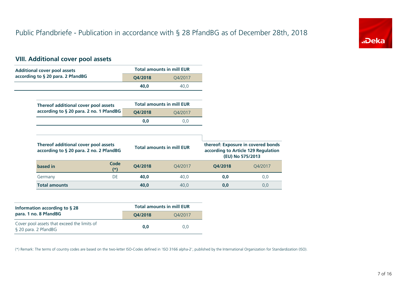

# **VIII. Additional cover pool assets**

| <b>Additional cover pool assets</b>                                             |         | <b>Total amounts in mill EUR</b> |         |                                                                                               |
|---------------------------------------------------------------------------------|---------|----------------------------------|---------|-----------------------------------------------------------------------------------------------|
| according to § 20 para. 2 PfandBG                                               | Q4/2018 | Q4/2017                          |         |                                                                                               |
|                                                                                 | 40,0    | 40,0                             |         |                                                                                               |
|                                                                                 |         |                                  |         |                                                                                               |
| Thereof additional cover pool assets                                            |         | <b>Total amounts in mill EUR</b> |         |                                                                                               |
| according to § 20 para. 2 no. 1 PfandBG                                         | Q4/2018 | Q4/2017                          |         |                                                                                               |
|                                                                                 | 0,0     | 0,0                              |         |                                                                                               |
|                                                                                 |         |                                  |         |                                                                                               |
| Thereof additional cover pool assets<br>according to § 20 para. 2 no. 2 PfandBG |         | <b>Total amounts in mill EUR</b> |         | thereof: Exposure in covered bonds<br>according to Article 129 Regulation<br>(EU) No 575/2013 |
| Code<br>based in<br>$^{(*)}$                                                    | Q4/2018 | Q4/2017                          | Q4/2018 | Q4/2017                                                                                       |
| <b>DE</b><br>Germany                                                            | 40,0    | 40,0                             | 0,0     | 0,0                                                                                           |
|                                                                                 |         |                                  |         |                                                                                               |

| Information according to $\S$ 28                                    | <b>Total amounts in mill EUR</b> |         |  |  |
|---------------------------------------------------------------------|----------------------------------|---------|--|--|
| para. 1 no. 8 PfandBG                                               | O4/2018                          | 04/2017 |  |  |
| Cover pool assets that exceed the limits of<br>§ 20 para. 2 PfandBG | 0.0                              | 0.0     |  |  |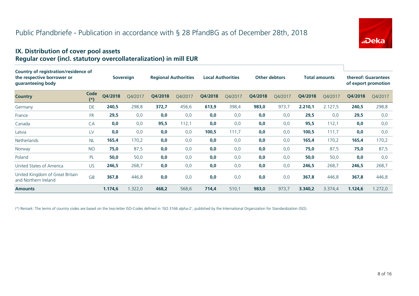

#### **IX. Distribution of cover pool assets Regular cover (incl. statutory overcollateralization) in mill EUR**

| Country of registration/residence of<br>the respective borrower or<br>guaranteeing body |               |         | <b>Sovereign</b> |         | <b>Regional Authorities</b> |         | <b>Local Authorities</b> | <b>Other debtors</b> |         |         | <b>Total amounts</b> |         | thereof: Guarantees<br>of export promotion |
|-----------------------------------------------------------------------------------------|---------------|---------|------------------|---------|-----------------------------|---------|--------------------------|----------------------|---------|---------|----------------------|---------|--------------------------------------------|
| <b>Country</b>                                                                          | Code<br>$(*)$ | Q4/2018 | O4/2017          | Q4/2018 | Q4/2017                     | Q4/2018 | Q4/2017                  | Q4/2018              | Q4/2017 | Q4/2018 | Q4/2017              | Q4/2018 | Q4/2017                                    |
| Germany                                                                                 | DE            | 240,5   | 298,8            | 372,7   | 456,6                       | 613,9   | 398,4                    | 983,0                | 973,7   | 2.210,1 | 2.127,5              | 240,5   | 298,8                                      |
| France                                                                                  | <b>FR</b>     | 29,5    | 0,0              | 0,0     | 0,0                         | 0,0     | 0,0                      | 0,0                  | 0,0     | 29,5    | 0,0                  | 29,5    | 0,0                                        |
| Canada                                                                                  | CA            | 0,0     | 0,0              | 95,5    | 112,1                       | 0,0     | 0,0                      | 0,0                  | 0,0     | 95,5    | 112,1                | 0,0     | 0,0                                        |
| Latvia                                                                                  | LV            | 0,0     | 0,0              | 0,0     | 0,0                         | 100,5   | 111,7                    | 0,0                  | 0,0     | 100,5   | 111,7                | 0,0     | 0,0                                        |
| <b>Netherlands</b>                                                                      | <b>NL</b>     | 165,4   | 170,2            | 0,0     | 0,0                         | 0,0     | 0,0                      | 0,0                  | 0,0     | 165,4   | 170,2                | 165,4   | 170,2                                      |
| Norway                                                                                  | <b>NO</b>     | 75,0    | 87,5             | 0,0     | 0,0                         | 0,0     | 0,0                      | 0,0                  | 0,0     | 75,0    | 87,5                 | 75,0    | 87,5                                       |
| Poland                                                                                  | PL            | 50,0    | 50,0             | 0,0     | 0,0                         | 0,0     | 0,0                      | 0,0                  | 0,0     | 50,0    | 50,0                 | 0,0     | 0,0                                        |
| United States of America                                                                | <b>US</b>     | 246,5   | 268,7            | 0,0     | 0,0                         | 0,0     | 0,0                      | 0,0                  | 0,0     | 246,5   | 268,7                | 246,5   | 268,7                                      |
| United Kingdom of Great Britain<br>and Northern Ireland                                 | <b>GB</b>     | 367,8   | 446,8            | 0,0     | 0,0                         | 0,0     | 0,0                      | 0,0                  | 0,0     | 367,8   | 446,8                | 367,8   | 446,8                                      |
| <b>Amounts</b>                                                                          |               | 1.174,6 | 1.322,0          | 468,2   | 568,6                       | 714,4   | 510,1                    | 983,0                | 973,7   | 3.340,2 | 3.374,4              | 1.124,6 | 1.272,0                                    |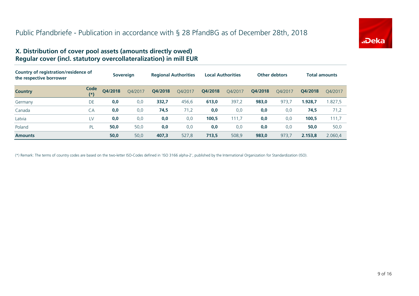

#### **X. Distribution of cover pool assets (amounts directly owed) Regular cover (incl. statutory overcollateralization) in mill EUR**

| Country of registration/residence of<br>the respective borrower |                  | <b>Sovereign</b> |         | <b>Regional Authorities</b> |         | <b>Local Authorities</b> |         | <b>Other debtors</b> |         | <b>Total amounts</b> |         |
|-----------------------------------------------------------------|------------------|------------------|---------|-----------------------------|---------|--------------------------|---------|----------------------|---------|----------------------|---------|
| <b>Country</b>                                                  | Code<br>$^{(*)}$ | Q4/2018          | Q4/2017 | Q4/2018                     | Q4/2017 | Q4/2018                  | Q4/2017 | Q4/2018              | Q4/2017 | Q4/2018              | O4/2017 |
| Germany                                                         | DE               | 0,0              | 0,0     | 332,7                       | 456,6   | 613,0                    | 397,2   | 983,0                | 973,7   | 1.928,7              | 1.827,5 |
| Canada                                                          | CA               | 0,0              | 0,0     | 74,5                        | 71,2    | 0,0                      | 0,0     | 0,0                  | 0,0     | 74,5                 | 71,2    |
| Latvia                                                          | LV               | 0,0              | 0,0     | 0,0                         | 0,0     | 100,5                    | 111,7   | 0,0                  | 0,0     | 100,5                | 111,7   |
| Poland                                                          | <b>PL</b>        | 50,0             | 50,0    | 0,0                         | 0,0     | 0,0                      | 0,0     | 0,0                  | 0,0     | 50,0                 | 50,0    |
| <b>Amounts</b>                                                  |                  | 50,0             | 50,0    | 407,3                       | 527,8   | 713.5                    | 508,9   | 983,0                | 973.7   | 2.153,8              | 2.060.4 |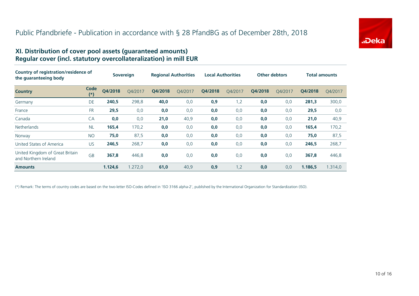

#### **XI. Distribution of cover pool assets (guaranteed amounts) Regular cover (incl. statutory overcollateralization) in mill EUR**

| Country of registration/residence of<br>the guaranteeing body |               | <b>Sovereign</b> |         | <b>Regional Authorities</b> |         | <b>Local Authorities</b> |         | <b>Other debtors</b> |         | <b>Total amounts</b> |         |
|---------------------------------------------------------------|---------------|------------------|---------|-----------------------------|---------|--------------------------|---------|----------------------|---------|----------------------|---------|
| <b>Country</b>                                                | Code<br>$(*)$ | Q4/2018          | O4/2017 | Q4/2018                     | O4/2017 | Q4/2018                  | O4/2017 | Q4/2018              | O4/2017 | Q4/2018              | O4/2017 |
| Germany                                                       | DE            | 240,5            | 298,8   | 40,0                        | 0,0     | 0,9                      | 1,2     | 0,0                  | 0,0     | 281,3                | 300,0   |
| France                                                        | <b>FR</b>     | 29,5             | 0,0     | 0,0                         | 0,0     | 0,0                      | 0,0     | 0,0                  | 0,0     | 29,5                 | 0,0     |
| Canada                                                        | CA            | 0,0              | 0,0     | 21,0                        | 40,9    | 0,0                      | 0,0     | 0,0                  | 0,0     | 21,0                 | 40,9    |
| <b>Netherlands</b>                                            | <b>NL</b>     | 165,4            | 170,2   | 0,0                         | 0,0     | 0,0                      | 0,0     | 0,0                  | 0,0     | 165,4                | 170,2   |
| Norway                                                        | <b>NO</b>     | 75,0             | 87,5    | 0,0                         | 0,0     | 0,0                      | 0,0     | 0,0                  | 0,0     | 75,0                 | 87,5    |
| United States of America                                      | US.           | 246,5            | 268,7   | 0,0                         | 0,0     | 0,0                      | 0,0     | 0,0                  | 0,0     | 246,5                | 268,7   |
| United Kingdom of Great Britain<br>and Northern Ireland       | <b>GB</b>     | 367,8            | 446,8   | 0,0                         | 0,0     | 0,0                      | 0,0     | 0,0                  | 0,0     | 367,8                | 446,8   |
| <b>Amounts</b>                                                |               | 1.124,6          | 1.272,0 | 61,0                        | 40,9    | 0,9                      | 1,2     | 0,0                  | 0,0     | 1.186,5              | 1.314,0 |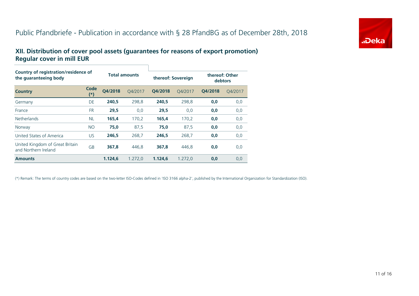# Public Pfandbriefe - Publication in accordance with § 28 PfandBG as of December 28th, 2018



#### **XII. Distribution of cover pool assets (guarantees for reasons of export promotion) Regular cover in mill EUR**

| Country of registration/residence of<br>the quaranteeing body |             | <b>Total amounts</b> |         | thereof: Sovereign |         |         | thereof: Other<br>debtors |  |  |
|---------------------------------------------------------------|-------------|----------------------|---------|--------------------|---------|---------|---------------------------|--|--|
| <b>Country</b>                                                | Code<br>(*) | O4/2018              | O4/2017 | O4/2018            | O4/2017 | O4/2018 | O4/2017                   |  |  |
| Germany                                                       | DE          | 240,5                | 298,8   | 240.5              | 298,8   | 0,0     | 0,0                       |  |  |
| France                                                        | <b>FR</b>   | 29,5                 | 0,0     | 29,5               | 0,0     | 0,0     | 0,0                       |  |  |
| <b>Netherlands</b>                                            | <b>NL</b>   | 165,4                | 170,2   | 165,4              | 170,2   | 0,0     | 0,0                       |  |  |
| Norway                                                        | <b>NO</b>   | 75,0                 | 87,5    | 75,0               | 87,5    | 0,0     | 0,0                       |  |  |
| United States of America                                      | <b>US</b>   | 246.5                | 268.7   | 246.5              | 268,7   | 0,0     | 0,0                       |  |  |
| United Kingdom of Great Britain<br>and Northern Ireland       | GB          | 367.8                | 446.8   | 367.8              | 446.8   | 0.0     | 0,0                       |  |  |
| <b>Amounts</b>                                                |             | 1.124,6              | 1.272,0 | 1.124.6            | 1.272,0 | 0,0     | 0,0                       |  |  |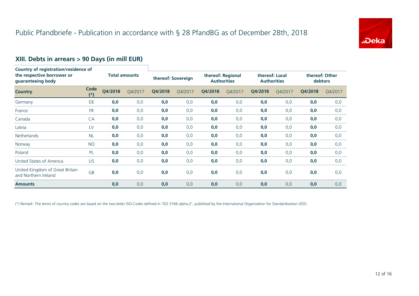

# **XIII. Debts in arrears > 90 Days (in mill EUR)**

| <b>Country of registration/residence of</b><br>the respective borrower or<br>guaranteeing body |               |                      |         |                    |         |                                         |         |                                      |         |                                  |         |
|------------------------------------------------------------------------------------------------|---------------|----------------------|---------|--------------------|---------|-----------------------------------------|---------|--------------------------------------|---------|----------------------------------|---------|
|                                                                                                |               | <b>Total amounts</b> |         | thereof: Sovereign |         | thereof: Regional<br><b>Authorities</b> |         | thereof: Local<br><b>Authorities</b> |         | thereof: Other<br><b>debtors</b> |         |
| <b>Country</b>                                                                                 | Code<br>$(*)$ | Q4/2018              | Q4/2017 | Q4/2018            | Q4/2017 | Q4/2018                                 | Q4/2017 | Q4/2018                              | Q4/2017 | Q4/2018                          | Q4/2017 |
| Germany                                                                                        | DE            | 0,0                  | 0,0     | 0,0                | 0,0     | 0,0                                     | 0,0     | 0,0                                  | 0,0     | 0,0                              | 0,0     |
| France                                                                                         | <b>FR</b>     | 0,0                  | 0,0     | 0,0                | 0,0     | 0,0                                     | 0,0     | 0,0                                  | 0,0     | 0,0                              | 0,0     |
| Canada                                                                                         | CA            | 0,0                  | 0,0     | 0,0                | 0,0     | 0,0                                     | 0,0     | 0,0                                  | 0,0     | 0,0                              | 0,0     |
| Latvia                                                                                         | LV            | 0,0                  | 0,0     | 0,0                | 0,0     | 0,0                                     | 0,0     | 0,0                                  | 0,0     | 0,0                              | 0,0     |
| <b>Netherlands</b>                                                                             | <b>NL</b>     | 0,0                  | 0,0     | 0,0                | 0,0     | 0,0                                     | 0,0     | 0,0                                  | 0,0     | 0,0                              | 0,0     |
| Norway                                                                                         | <b>NO</b>     | 0,0                  | 0,0     | 0,0                | 0,0     | 0,0                                     | 0,0     | 0,0                                  | 0,0     | 0,0                              | 0,0     |
| Poland                                                                                         | <b>PL</b>     | 0,0                  | 0,0     | 0,0                | 0,0     | 0,0                                     | 0,0     | 0,0                                  | 0,0     | 0,0                              | 0,0     |
| United States of America                                                                       | <b>US</b>     | 0,0                  | 0,0     | 0,0                | 0,0     | 0,0                                     | 0,0     | 0,0                                  | 0,0     | 0,0                              | 0,0     |
| United Kingdom of Great Britain<br>and Northern Ireland                                        | GB            | 0,0                  | 0,0     | 0,0                | 0,0     | 0,0                                     | 0,0     | 0,0                                  | 0,0     | 0,0                              | 0,0     |
| <b>Amounts</b>                                                                                 |               | 0,0                  | 0,0     | 0,0                | 0,0     | 0,0                                     | 0,0     | 0,0                                  | 0,0     | 0,0                              | 0,0     |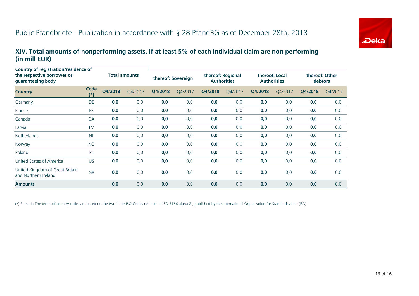

#### **XIV. Total amounts of nonperforming assets, if at least 5% of each individual claim are non performing (in mill EUR)**

| Country of registration/residence of<br>the respective borrower or<br>guaranteeing body |               |                      |         |                    |         |                                         |         |                                      |         |                           |         |
|-----------------------------------------------------------------------------------------|---------------|----------------------|---------|--------------------|---------|-----------------------------------------|---------|--------------------------------------|---------|---------------------------|---------|
|                                                                                         |               | <b>Total amounts</b> |         | thereof: Sovereign |         | thereof: Regional<br><b>Authorities</b> |         | thereof: Local<br><b>Authorities</b> |         | thereof: Other<br>debtors |         |
| <b>Country</b>                                                                          | Code<br>$(*)$ | Q4/2018              | Q4/2017 | Q4/2018            | Q4/2017 | Q4/2018                                 | Q4/2017 | Q4/2018                              | Q4/2017 | Q4/2018                   | Q4/2017 |
| Germany                                                                                 | <b>DE</b>     | 0,0                  | 0,0     | 0,0                | 0,0     | 0,0                                     | 0,0     | 0,0                                  | 0,0     | 0,0                       | 0,0     |
| France                                                                                  | <b>FR</b>     | 0,0                  | 0,0     | 0,0                | 0,0     | 0,0                                     | 0,0     | 0,0                                  | 0,0     | 0,0                       | 0,0     |
| Canada                                                                                  | CA            | 0,0                  | 0,0     | 0,0                | 0,0     | 0,0                                     | 0,0     | 0,0                                  | 0,0     | 0,0                       | 0,0     |
| Latvia                                                                                  | LV            | 0,0                  | 0,0     | 0,0                | 0,0     | 0,0                                     | 0,0     | 0,0                                  | 0,0     | 0,0                       | 0,0     |
| <b>Netherlands</b>                                                                      | <b>NL</b>     | 0,0                  | 0,0     | 0,0                | 0,0     | 0,0                                     | 0,0     | 0,0                                  | 0,0     | 0,0                       | 0,0     |
| Norway                                                                                  | <b>NO</b>     | 0,0                  | 0,0     | 0,0                | 0,0     | 0,0                                     | 0,0     | 0,0                                  | 0,0     | 0,0                       | 0,0     |
| Poland                                                                                  | PL            | 0,0                  | 0,0     | 0,0                | 0,0     | 0,0                                     | 0,0     | 0,0                                  | 0,0     | 0,0                       | 0,0     |
| United States of America                                                                | US.           | 0,0                  | 0,0     | 0,0                | 0,0     | 0,0                                     | 0,0     | 0,0                                  | 0,0     | 0,0                       | 0,0     |
| United Kingdom of Great Britain<br>and Northern Ireland                                 | GB            | 0,0                  | 0,0     | 0,0                | 0,0     | 0,0                                     | 0,0     | 0,0                                  | 0,0     | 0,0                       | 0,0     |
| <b>Amounts</b>                                                                          |               | 0,0                  | 0,0     | 0,0                | 0,0     | 0,0                                     | 0,0     | 0,0                                  | 0,0     | 0,0                       | 0,0     |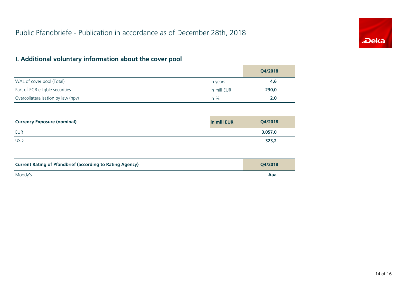

# **I. Additional voluntary information about the cover pool**

|                                    |             | Q4/2018 |
|------------------------------------|-------------|---------|
| WAL of cover pool (Total)          | in years    | 4,6     |
| Part of ECB elligble securities    | in mill EUR | 230,0   |
| Overcollateralisation by law (npv) | in $\%$     | 2,0     |

| <b>Currency Exposure (nominal)</b> | in mill EUR | Q4/2018 |
|------------------------------------|-------------|---------|
| <b>EUR</b>                         |             | 3.057,0 |
| <b>USD</b>                         |             | 323,2   |

| <b>Current Rating of Pfandbrief (according to Rating Agency)</b> | O4/2018 |
|------------------------------------------------------------------|---------|
| Moody's                                                          | Aaa     |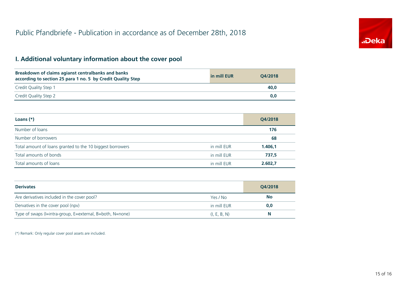

# **I. Additional voluntary information about the cover pool**

| Breakdown of claims agianst centralbanks and banks<br>according to section 25 para 1 no. 5 by Credit Quality Step | in mill EUR | O4/2018 |
|-------------------------------------------------------------------------------------------------------------------|-------------|---------|
| Credit Quality Step 1                                                                                             |             | 40.0    |
| Credit Quality Step 2                                                                                             |             | 0.0     |

| Loans $(*)$                                               |             | Q4/2018 |
|-----------------------------------------------------------|-------------|---------|
| Number of loans                                           |             | 176     |
| Number of borrowers                                       |             | 68      |
| Total amount of loans granted to the 10 biggest borrowers | in mill EUR | 1.406,1 |
| Total amounts of bonds                                    | in mill EUR | 737,5   |
| Total amounts of loans                                    | in mill EUR | 2.602,7 |

| <b>Derivates</b>                                          |              | Q4/2018   |
|-----------------------------------------------------------|--------------|-----------|
| Are derivatives included in the cover pool?               | Yes / No     | <b>No</b> |
| Dervatives in the cover pool (npv)                        | in mill EUR  | 0,0       |
| Type of swaps (I=intra-group, E=external, B=both, N=none) | (I, E, B, N) | N         |

(\*) Remark: Only regular cover pool assets are included.